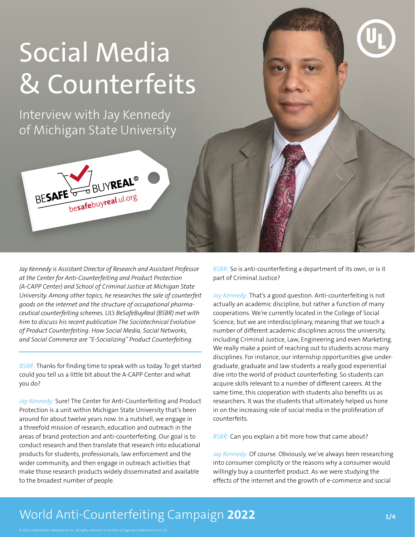# Social Media & Counterfeits

Interview with Jay Kennedy of Michigan State University



*Jay Kennedy is Assistant Director of Research and Assistant Professor at the Center for Anti-Counterfeiting and Product Protection (A-CAPP Center) and School of Criminal Justice at Michigan State University. Among other topics, he researches the sale of counterfeit goods on the internet and the structure of occupational pharmaceutical counterfeiting schemes. UL's BeSafeBuyReal (BSBR) met with him to discuss his recent publication The Sociotechnical Evolution of Product Counterfeiting: How Social Media, Social Networks, and Social Commerce are "E-Socializing" Product Counterfeiting.*

*BSBR:* Thanks for finding time to speak with us today. To get started could you tell us a little bit about the A-CAPP Center and what you do?

*Jay Kennedy:* Sure! The Center for Anti-Counterfeiting and Product Protection is a unit within Michigan State University that's been around for about twelve years now. In a nutshell, we engage in a threefold mission of research, education and outreach in the areas of brand protection and anti-counterfeiting. Our goal is to conduct research and then translate that research into educational products for students, professionals, law enforcement and the wider community, and then engage in outreach activities that make those research products widely disseminated and available to the broadest number of people.

*BSBR:* So is anti-counterfeiting a department of its own, or is it part of Criminal Justice?

Jay Kennedy: That's a good question. Anti-counterfeiting is not actually an academic discipline, but rather a function of many cooperations. We're currently located in the College of Social Science, but we are interdisciplinary, meaning that we touch a number of different academic disciplines across the university, including Criminal Justice, Law, Engineering and even Marketing. We really make a point of reaching out to students across many disciplines. For instance, our internship opportunities give undergraduate, graduate and law students a really good experiential dive into the world of product counterfeiting. So students can acquire skills relevant to a number of different careers. At the same time, this cooperation with students also benefits us as researchers. It was the students that ultimately helped us hone in on the increasing role of social media in the proliferation of counterfeits.

*BSBR:* Can you explain a bit more how that came about?

*Jay Kennedy:* Of course. Obviously, we've always been researching into consumer complicity or the reasons why a consumer would willingly buy a counterfeit product. As we were studying the effects of the internet and the growth of e-commerce and social

## World Anti-Counterfeiting Campaign 2022 **1/4** and 1/4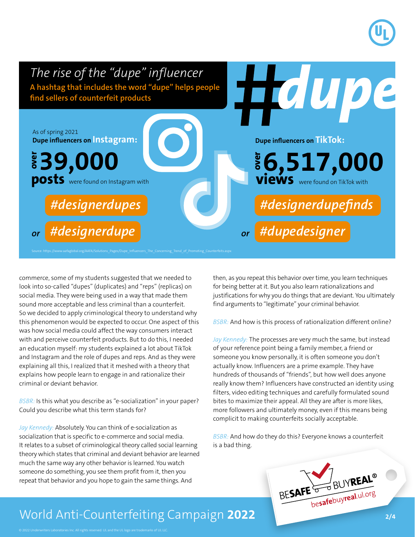

commerce, some of my students suggested that we needed to look into so-called "dupes" (duplicates) and "reps" (replicas) on social media. They were being used in a way that made them sound more acceptable and less criminal than a counterfeit. So we decided to apply criminological theory to understand why this phenomenon would be expected to occur. One aspect of this was how social media could affect the way consumers interact with and perceive counterfeit products. But to do this, I needed an education myself: my students explained a lot about TikTok and Instagram and the role of dupes and reps. And as they were explaining all this, I realized that it meshed with a theory that explains how people learn to engage in and rationalize their criminal or deviant behavior.

*BSBR:* Is this what you describe as "e-socialization" in your paper? Could you describe what this term stands for?

*Jay Kennedy:* Absolutely. You can think of e-socialization as socialization that is specific to e-commerce and social media. It relates to a subset of criminological theory called social learning theory which states that criminal and deviant behavior are learned much the same way any other behavior is learned. You watch someone do something, you see them profit from it, then you repeat that behavior and you hope to gain the same things. And

then, as you repeat this behavior over time, you learn techniques for being better at it. But you also learn rationalizations and justifications for why you do things that are deviant. You ultimately find arguments to "legitimate" your criminal behavior.

*BSBR:* And how is this process of rationalization different online?

*Jay Kennedy:* The processes are very much the same, but instead of your reference point being a family member, a friend or someone you know personally, it is often someone you don't actually know. Influencers are a prime example. They have hundreds of thousands of "friends", but how well does anyone really know them? Influencers have constructed an identity using filters, video editing techniques and carefully formulated sound bites to maximize their appeal. All they are after is more likes, more followers and ultimately money, even if this means being complicit to making counterfeits socially acceptable.

*BSBR:* And how do they do this? Everyone knows a counterfeit is a bad thing.



#### World Anti-Counterfeiting Campaign 2022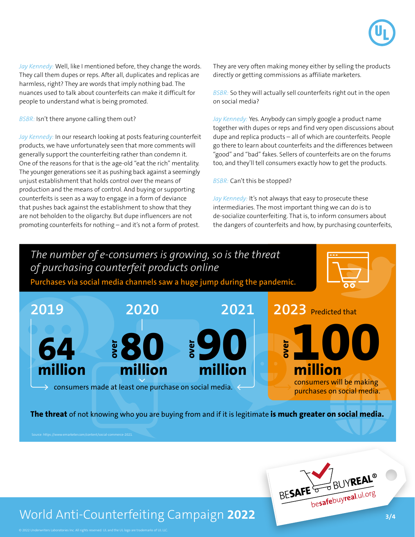Jay Kennedy: Well, like I mentioned before, they change the words. They call them dupes or reps. After all, duplicates and replicas are harmless, right? They are words that imply nothing bad. The nuances used to talk about counterfeits can make it difficult for people to understand what is being promoted.

*BSBR:* Isn't there anyone calling them out?

*Jay Kennedy:* In our research looking at posts featuring counterfeit products, we have unfortunately seen that more comments will generally support the counterfeiting rather than condemn it. One of the reasons for that is the age-old "eat the rich" mentality. The younger generations see it as pushing back against a seemingly unjust establishment that holds control over the means of production and the means of control. And buying or supporting counterfeits is seen as a way to engage in a form of deviance that pushes back against the establishment to show that they are not beholden to the oligarchy. But dupe influencers are not promoting counterfeits for nothing – and it's not a form of protest.

They are very often making money either by selling the products directly or getting commissions as affiliate marketers.

*BSBR:* So they will actually sell counterfeits right out in the open on social media?

*Jay Kennedy:* Yes. Anybody can simply google a product name together with dupes or reps and find very open discussions about dupe and replica products – all of which are counterfeits. People go there to learn about counterfeits and the differences between "good" and "bad" fakes. Sellers of counterfeits are on the forums too, and they'll tell consumers exactly how to get the products.

*BSBR:* Can't this be stopped?

*Jay Kennedy:* It's not always that easy to prosecute these intermediaries. The most important thing we can do is to de-socialize counterfeiting. That is, to inform consumers about the dangers of counterfeits and how, by purchasing counterfeits,





### World Anti-Counterfeiting Campaign 2022